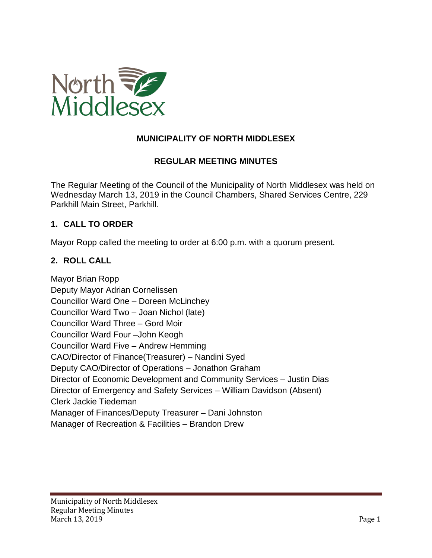

## **MUNICIPALITY OF NORTH MIDDLESEX**

### **REGULAR MEETING MINUTES**

The Regular Meeting of the Council of the Municipality of North Middlesex was held on Wednesday March 13, 2019 in the Council Chambers, Shared Services Centre, 229 Parkhill Main Street, Parkhill.

#### **1. CALL TO ORDER**

Mayor Ropp called the meeting to order at 6:00 p.m. with a quorum present.

#### **2. ROLL CALL**

Mayor Brian Ropp Deputy Mayor Adrian Cornelissen Councillor Ward One – Doreen McLinchey Councillor Ward Two – Joan Nichol (late) Councillor Ward Three – Gord Moir Councillor Ward Four –John Keogh Councillor Ward Five – Andrew Hemming CAO/Director of Finance(Treasurer) – Nandini Syed Deputy CAO/Director of Operations – Jonathon Graham Director of Economic Development and Community Services – Justin Dias Director of Emergency and Safety Services – William Davidson (Absent) Clerk Jackie Tiedeman Manager of Finances/Deputy Treasurer – Dani Johnston Manager of Recreation & Facilities – Brandon Drew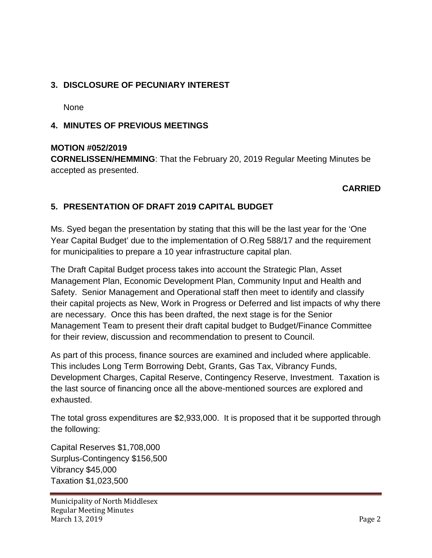## **3. DISCLOSURE OF PECUNIARY INTEREST**

None

### **4. MINUTES OF PREVIOUS MEETINGS**

#### **MOTION #052/2019**

**CORNELISSEN/HEMMING**: That the February 20, 2019 Regular Meeting Minutes be accepted as presented.

### **CARRIED**

## **5. PRESENTATION OF DRAFT 2019 CAPITAL BUDGET**

Ms. Syed began the presentation by stating that this will be the last year for the 'One Year Capital Budget' due to the implementation of O.Reg 588/17 and the requirement for municipalities to prepare a 10 year infrastructure capital plan.

The Draft Capital Budget process takes into account the Strategic Plan, Asset Management Plan, Economic Development Plan, Community Input and Health and Safety. Senior Management and Operational staff then meet to identify and classify their capital projects as New, Work in Progress or Deferred and list impacts of why there are necessary. Once this has been drafted, the next stage is for the Senior Management Team to present their draft capital budget to Budget/Finance Committee for their review, discussion and recommendation to present to Council.

As part of this process, finance sources are examined and included where applicable. This includes Long Term Borrowing Debt, Grants, Gas Tax, Vibrancy Funds, Development Charges, Capital Reserve, Contingency Reserve, Investment. Taxation is the last source of financing once all the above-mentioned sources are explored and exhausted.

The total gross expenditures are \$2,933,000. It is proposed that it be supported through the following:

Capital Reserves \$1,708,000 Surplus-Contingency \$156,500 Vibrancy \$45,000 Taxation \$1,023,500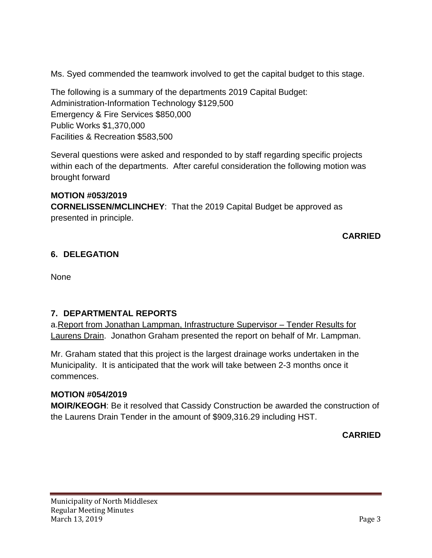Ms. Syed commended the teamwork involved to get the capital budget to this stage.

The following is a summary of the departments 2019 Capital Budget: Administration-Information Technology \$129,500 Emergency & Fire Services \$850,000 Public Works \$1,370,000 Facilities & Recreation \$583,500

Several questions were asked and responded to by staff regarding specific projects within each of the departments. After careful consideration the following motion was brought forward

# **MOTION #053/2019**

**CORNELISSEN/MCLINCHEY**: That the 2019 Capital Budget be approved as presented in principle.

**CARRIED**

# **6. DELEGATION**

**None** 

## **7. DEPARTMENTAL REPORTS**

a.Report from Jonathan Lampman, Infrastructure Supervisor – Tender Results for Laurens Drain. Jonathon Graham presented the report on behalf of Mr. Lampman.

Mr. Graham stated that this project is the largest drainage works undertaken in the Municipality. It is anticipated that the work will take between 2-3 months once it commences.

## **MOTION #054/2019**

**MOIR/KEOGH**: Be it resolved that Cassidy Construction be awarded the construction of the Laurens Drain Tender in the amount of \$909,316.29 including HST.

**CARRIED**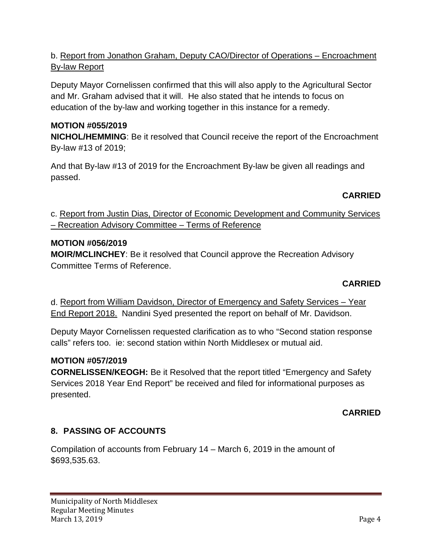# b. Report from Jonathon Graham, Deputy CAO/Director of Operations – Encroachment By-law Report

Deputy Mayor Cornelissen confirmed that this will also apply to the Agricultural Sector and Mr. Graham advised that it will. He also stated that he intends to focus on education of the by-law and working together in this instance for a remedy.

# **MOTION #055/2019**

**NICHOL/HEMMING**: Be it resolved that Council receive the report of the Encroachment By-law #13 of 2019;

And that By-law #13 of 2019 for the Encroachment By-law be given all readings and passed.

## **CARRIED**

c. Report from Justin Dias, Director of Economic Development and Community Services – Recreation Advisory Committee – Terms of Reference

### **MOTION #056/2019**

**MOIR/MCLINCHEY**: Be it resolved that Council approve the Recreation Advisory Committee Terms of Reference.

### **CARRIED**

d. Report from William Davidson, Director of Emergency and Safety Services – Year End Report 2018. Nandini Syed presented the report on behalf of Mr. Davidson.

Deputy Mayor Cornelissen requested clarification as to who "Second station response calls" refers too. ie: second station within North Middlesex or mutual aid.

### **MOTION #057/2019**

**CORNELISSEN/KEOGH:** Be it Resolved that the report titled "Emergency and Safety Services 2018 Year End Report" be received and filed for informational purposes as presented.

### **CARRIED**

### **8. PASSING OF ACCOUNTS**

Compilation of accounts from February 14 – March 6, 2019 in the amount of \$693,535.63.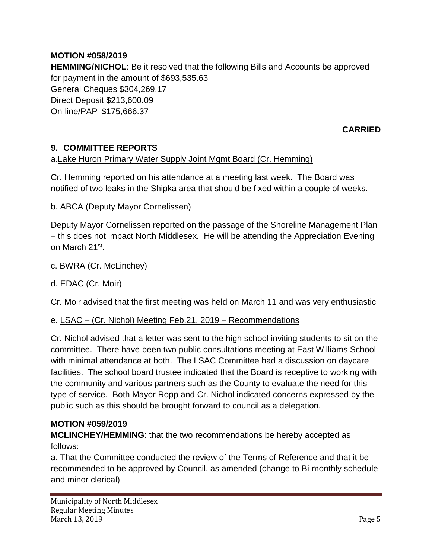# **MOTION #058/2019**

**HEMMING/NICHOL**: Be it resolved that the following Bills and Accounts be approved for payment in the amount of \$693,535.63 General Cheques \$304,269.17 Direct Deposit \$213,600.09 On-line/PAP \$175,666.37

### **CARRIED**

## **9. COMMITTEE REPORTS**

### a.Lake Huron Primary Water Supply Joint Mgmt Board (Cr. Hemming)

Cr. Hemming reported on his attendance at a meeting last week. The Board was notified of two leaks in the Shipka area that should be fixed within a couple of weeks.

#### b. ABCA (Deputy Mayor Cornelissen)

Deputy Mayor Cornelissen reported on the passage of the Shoreline Management Plan – this does not impact North Middlesex. He will be attending the Appreciation Evening on March 21st.

#### c. BWRA (Cr. McLinchey)

### d. EDAC (Cr. Moir)

Cr. Moir advised that the first meeting was held on March 11 and was very enthusiastic

#### e. LSAC – (Cr. Nichol) Meeting Feb.21, 2019 – Recommendations

Cr. Nichol advised that a letter was sent to the high school inviting students to sit on the committee. There have been two public consultations meeting at East Williams School with minimal attendance at both. The LSAC Committee had a discussion on daycare facilities. The school board trustee indicated that the Board is receptive to working with the community and various partners such as the County to evaluate the need for this type of service. Both Mayor Ropp and Cr. Nichol indicated concerns expressed by the public such as this should be brought forward to council as a delegation.

#### **MOTION #059/2019**

**MCLINCHEY/HEMMING**: that the two recommendations be hereby accepted as follows:

a. That the Committee conducted the review of the Terms of Reference and that it be recommended to be approved by Council, as amended (change to Bi-monthly schedule and minor clerical)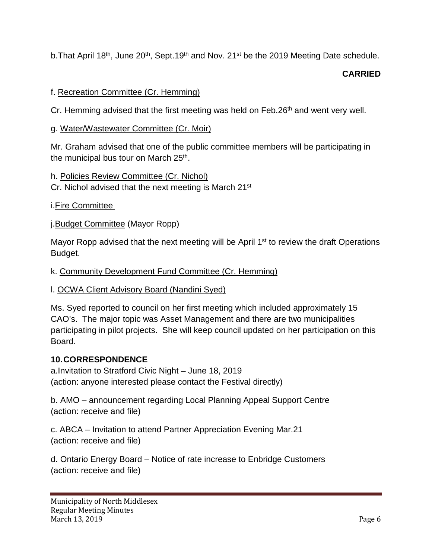b. That April 18<sup>th</sup>, June 20<sup>th</sup>, Sept. 19<sup>th</sup> and Nov. 21<sup>st</sup> be the 2019 Meeting Date schedule.

## **CARRIED**

### f. Recreation Committee (Cr. Hemming)

Cr. Hemming advised that the first meeting was held on Feb.  $26<sup>th</sup>$  and went very well.

#### g. Water/Wastewater Committee (Cr. Moir)

Mr. Graham advised that one of the public committee members will be participating in the municipal bus tour on March 25<sup>th</sup>.

### h. Policies Review Committee (Cr. Nichol)

Cr. Nichol advised that the next meeting is March 21<sup>st</sup>

i.Fire Committee

j.Budget Committee (Mayor Ropp)

Mayor Ropp advised that the next meeting will be April 1<sup>st</sup> to review the draft Operations Budget.

### k. Community Development Fund Committee (Cr. Hemming)

### l. OCWA Client Advisory Board (Nandini Syed)

Ms. Syed reported to council on her first meeting which included approximately 15 CAO's. The major topic was Asset Management and there are two municipalities participating in pilot projects. She will keep council updated on her participation on this Board.

### **10.CORRESPONDENCE**

a.Invitation to Stratford Civic Night – June 18, 2019 (action: anyone interested please contact the Festival directly)

b. AMO – announcement regarding Local Planning Appeal Support Centre (action: receive and file)

c. ABCA – Invitation to attend Partner Appreciation Evening Mar.21 (action: receive and file)

d. Ontario Energy Board – Notice of rate increase to Enbridge Customers (action: receive and file)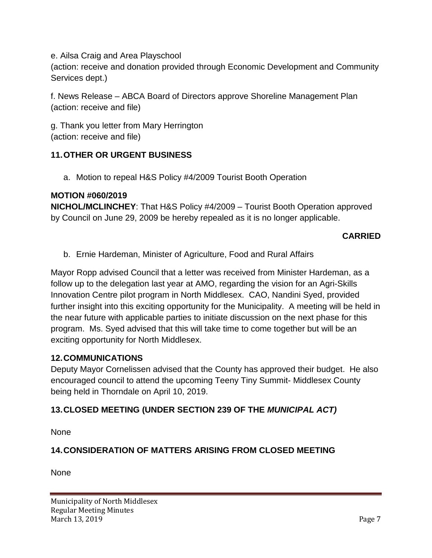e. Ailsa Craig and Area Playschool

(action: receive and donation provided through Economic Development and Community Services dept.)

f. News Release – ABCA Board of Directors approve Shoreline Management Plan (action: receive and file)

g. Thank you letter from Mary Herrington (action: receive and file)

### **11.OTHER OR URGENT BUSINESS**

a. Motion to repeal H&S Policy #4/2009 Tourist Booth Operation

### **MOTION #060/2019**

**NICHOL/MCLINCHEY**: That H&S Policy #4/2009 – Tourist Booth Operation approved by Council on June 29, 2009 be hereby repealed as it is no longer applicable.

### **CARRIED**

b. Ernie Hardeman, Minister of Agriculture, Food and Rural Affairs

Mayor Ropp advised Council that a letter was received from Minister Hardeman, as a follow up to the delegation last year at AMO, regarding the vision for an Agri-Skills Innovation Centre pilot program in North Middlesex. CAO, Nandini Syed, provided further insight into this exciting opportunity for the Municipality. A meeting will be held in the near future with applicable parties to initiate discussion on the next phase for this program. Ms. Syed advised that this will take time to come together but will be an exciting opportunity for North Middlesex.

### **12.COMMUNICATIONS**

Deputy Mayor Cornelissen advised that the County has approved their budget. He also encouraged council to attend the upcoming Teeny Tiny Summit- Middlesex County being held in Thorndale on April 10, 2019.

## **13.CLOSED MEETING (UNDER SECTION 239 OF THE** *MUNICIPAL ACT)*

None

# **14.CONSIDERATION OF MATTERS ARISING FROM CLOSED MEETING**

None